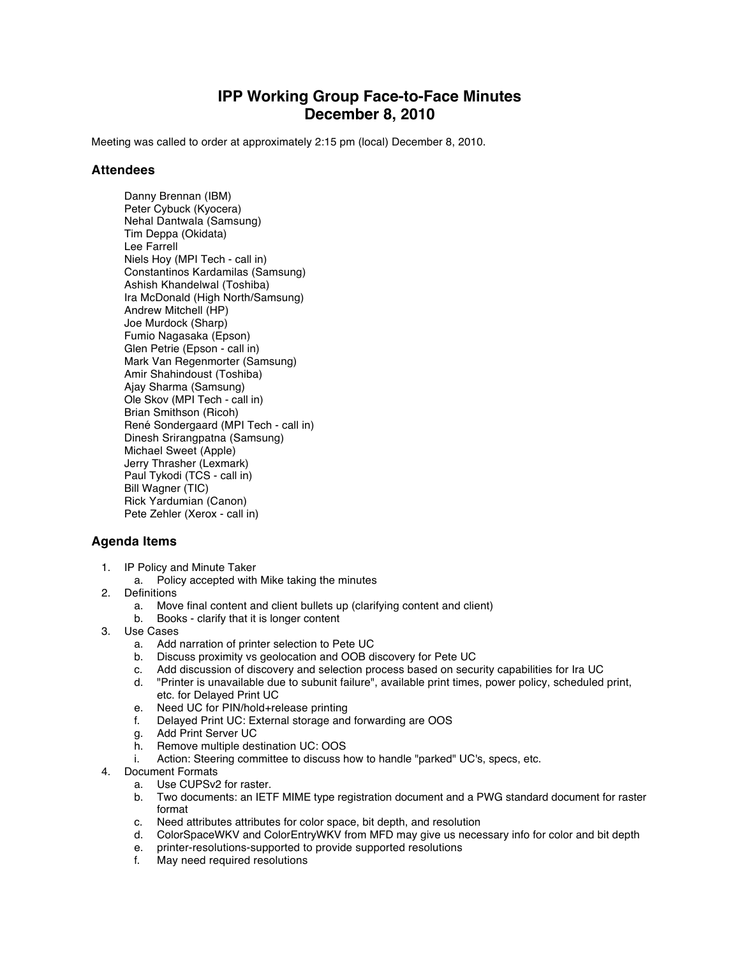## **IPP Working Group Face-to-Face Minutes December 8, 2010**

Meeting was called to order at approximately 2:15 pm (local) December 8, 2010.

## **Attendees**

Danny Brennan (IBM) Peter Cybuck (Kyocera) Nehal Dantwala (Samsung) Tim Deppa (Okidata) Lee Farrell Niels Hoy (MPI Tech - call in) Constantinos Kardamilas (Samsung) Ashish Khandelwal (Toshiba) Ira McDonald (High North/Samsung) Andrew Mitchell (HP) Joe Murdock (Sharp) Fumio Nagasaka (Epson) Glen Petrie (Epson - call in) Mark Van Regenmorter (Samsung) Amir Shahindoust (Toshiba) Ajay Sharma (Samsung) Ole Skov (MPI Tech - call in) Brian Smithson (Ricoh) René Sondergaard (MPI Tech - call in) Dinesh Srirangpatna (Samsung) Michael Sweet (Apple) Jerry Thrasher (Lexmark) Paul Tykodi (TCS - call in) Bill Wagner (TIC) Rick Yardumian (Canon) Pete Zehler (Xerox - call in)

## **Agenda Items**

- 1. IP Policy and Minute Taker
	- a. Policy accepted with Mike taking the minutes
- 2. Definitions
	- a. Move final content and client bullets up (clarifying content and client)
	- b. Books clarify that it is longer content
- 3. Use Cases
	- a. Add narration of printer selection to Pete UC
	- b. Discuss proximity vs geolocation and OOB discovery for Pete UC
	- c. Add discussion of discovery and selection process based on security capabilities for Ira UC<br>d. "Printer is unavailable due to subunit failure", available print times, power policy, scheduled
	- "Printer is unavailable due to subunit failure", available print times, power policy, scheduled print, etc. for Delayed Print UC
	- e. Need UC for PIN/hold+release printing
	- f. Delayed Print UC: External storage and forwarding are OOS
	- g. Add Print Server UC<br>h. Remove multiple des
	- Remove multiple destination UC: OOS
	- i. Action: Steering committee to discuss how to handle "parked" UC's, specs, etc.
- 4. Document Formats
	- a. Use CUPSv2 for raster.
	- b. Two documents: an IETF MIME type registration document and a PWG standard document for raster format
	- c. Need attributes attributes for color space, bit depth, and resolution<br>d. ColorSpaceWKV and ColorEntryWKV from MFD may give us nece
	- d. ColorSpaceWKV and ColorEntryWKV from MFD may give us necessary info for color and bit depth
	- e. printer-resolutions-supported to provide supported resolutions
	- f. May need required resolutions